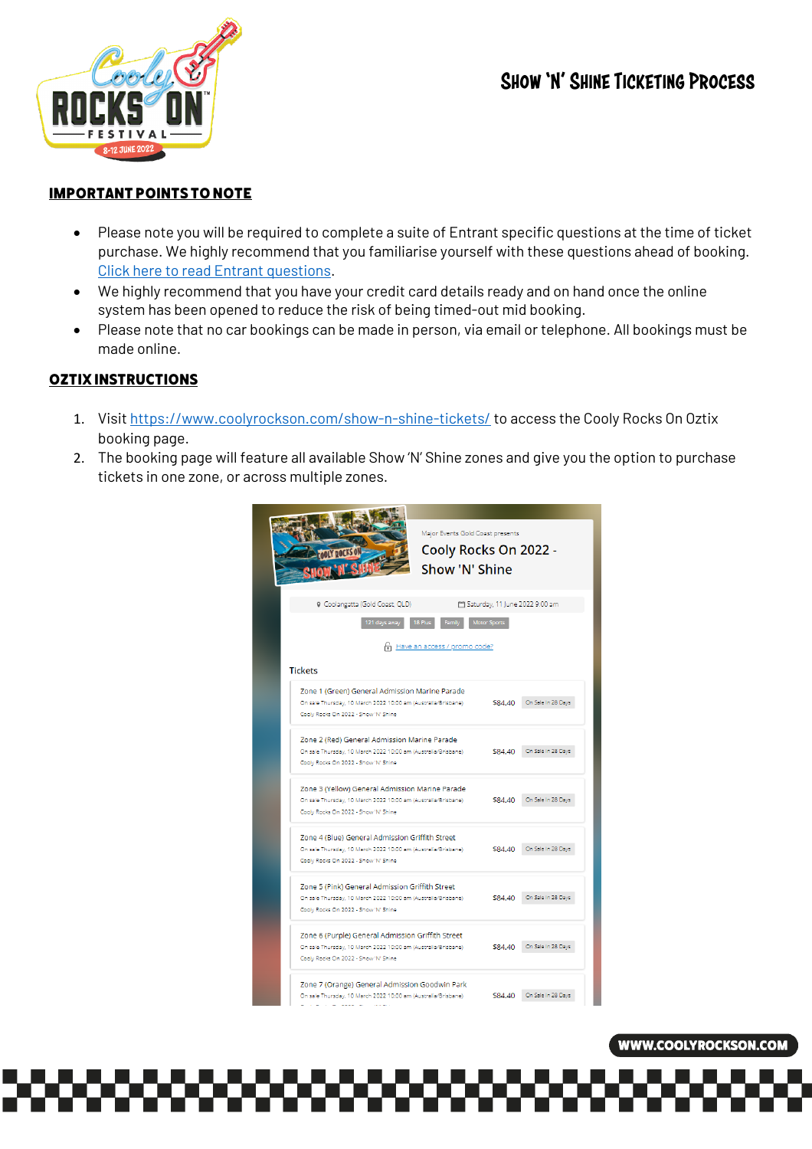## SHOW 'N' SHINE TICKETING PROCESS



### IMPORTANT POINTS TO NOTE

- Please note you will be required to complete a suite of Entrant specific questions at the time of ticket purchase. We highly recommend that you familiarise yourself with these questions ahead of booking. Click here to read Entrant questions.
- We highly recommend that you have your credit card details ready and on hand once the online system has been opened to reduce the risk of being timed-out mid booking.
- Please note that no car bookings can be made in person, via email or telephone. All bookings must be made online.

## OZTIX INSTRUCTIONS

- 1. Visit https://www.coolyrockson.com/show-n-shine-tickets/ to access the Cooly Rocks On Oztix booking page.
- 2. The booking page will feature all available Show 'N' Shine zones and give you the option to purchase tickets in one zone, or across multiple zones.



#### **WWW.COOLYROCKSON.COM**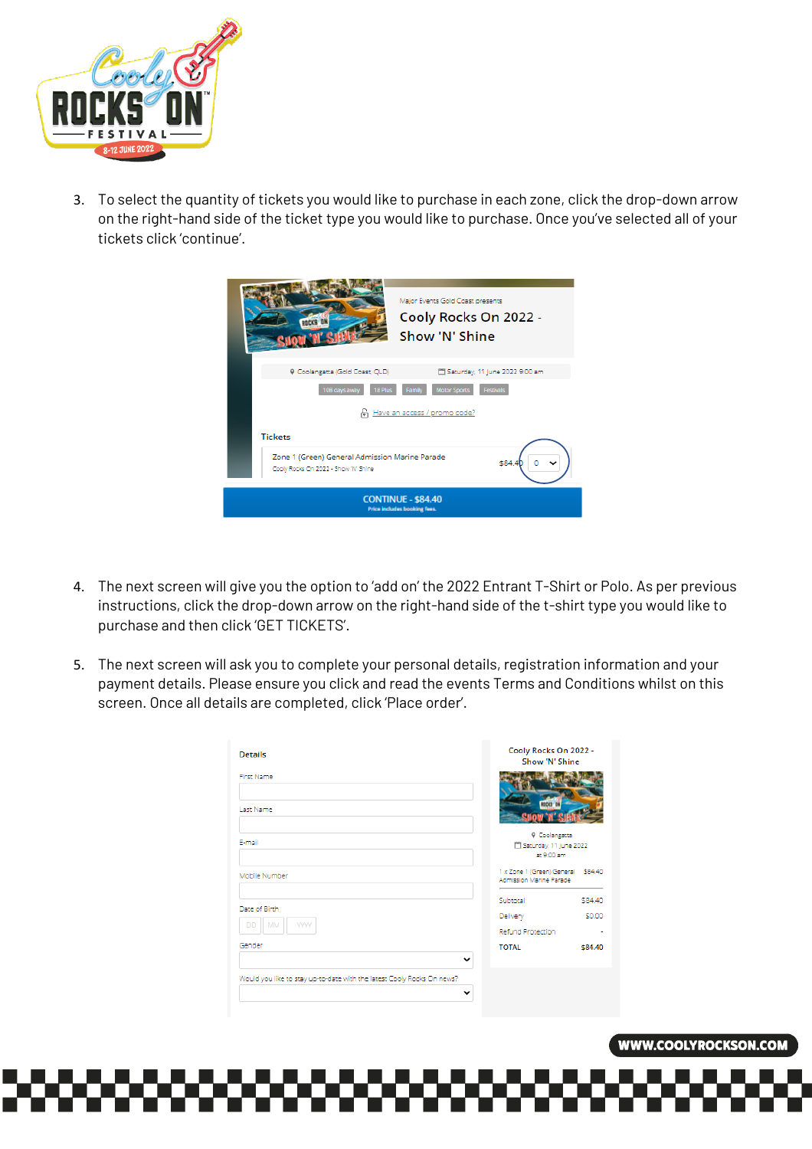

3. To select the quantity of tickets you would like to purchase in each zone, click the drop-down arrow on the right-hand side of the ticket type you would like to purchase. Once you've selected all of your tickets click 'continue'.

| Major Events Gold Coast presents<br>Cooly Rocks On 2022 -<br>Show 'N' Shine                      |  |  |
|--------------------------------------------------------------------------------------------------|--|--|
| 9 Coolangatta (Gold Coast, QLD)<br>Saturday, 11 June 2022 9:00 am                                |  |  |
| 10B days away<br><b>Motor Sports</b><br><b>Festivals</b><br>18 Plus<br>Family                    |  |  |
| A Have an access / promo code?                                                                   |  |  |
| <b>Tickets</b>                                                                                   |  |  |
| Zone 1 (Green) General Admission Marine Parade<br>\$84.4<br>Cooly Rocks On 2022 - Show 'N' Shine |  |  |
| <b>CONTINUE - \$84.40</b><br><b>Price includes booking fees.</b>                                 |  |  |

- 4. The next screen will give you the option to 'add on' the 2022 Entrant T-Shirt or Polo. As per previous instructions, click the drop-down arrow on the right-hand side of the t-shirt type you would like to purchase and then click 'GET TICKETS'.
- 5. The next screen will ask you to complete your personal details, registration information and your payment details. Please ensure you click and read the events Terms and Conditions whilst on this screen. Once all details are completed, click 'Place order'.

| Details                                                                | Cooly Rocks On 2022 -<br>Show 'N' Shine                       |         |
|------------------------------------------------------------------------|---------------------------------------------------------------|---------|
| First Name                                                             |                                                               |         |
| Last Name                                                              |                                                               |         |
| F-mail                                                                 | <b>9 Coolangatta</b><br>Saturday, 11 June 2022<br>at 9:00 am  |         |
| Mobile Number                                                          | 1 x Zone 1 (Green) General \$84.40<br>Admission Marine Parade |         |
|                                                                        | Subtotal                                                      | \$84.40 |
| Date of Birth                                                          | Delivery                                                      | \$0.00  |
| <b>YYYY</b><br><b>MM</b><br><b>DD</b>                                  | <b>Refund Protection</b>                                      | ٠       |
| Gender<br>$\check{ }$                                                  | <b>TOTAL</b>                                                  | \$84.40 |
| Would you like to stay up-to-date with the latest Cooly Rocks On news? |                                                               |         |
| v                                                                      |                                                               |         |